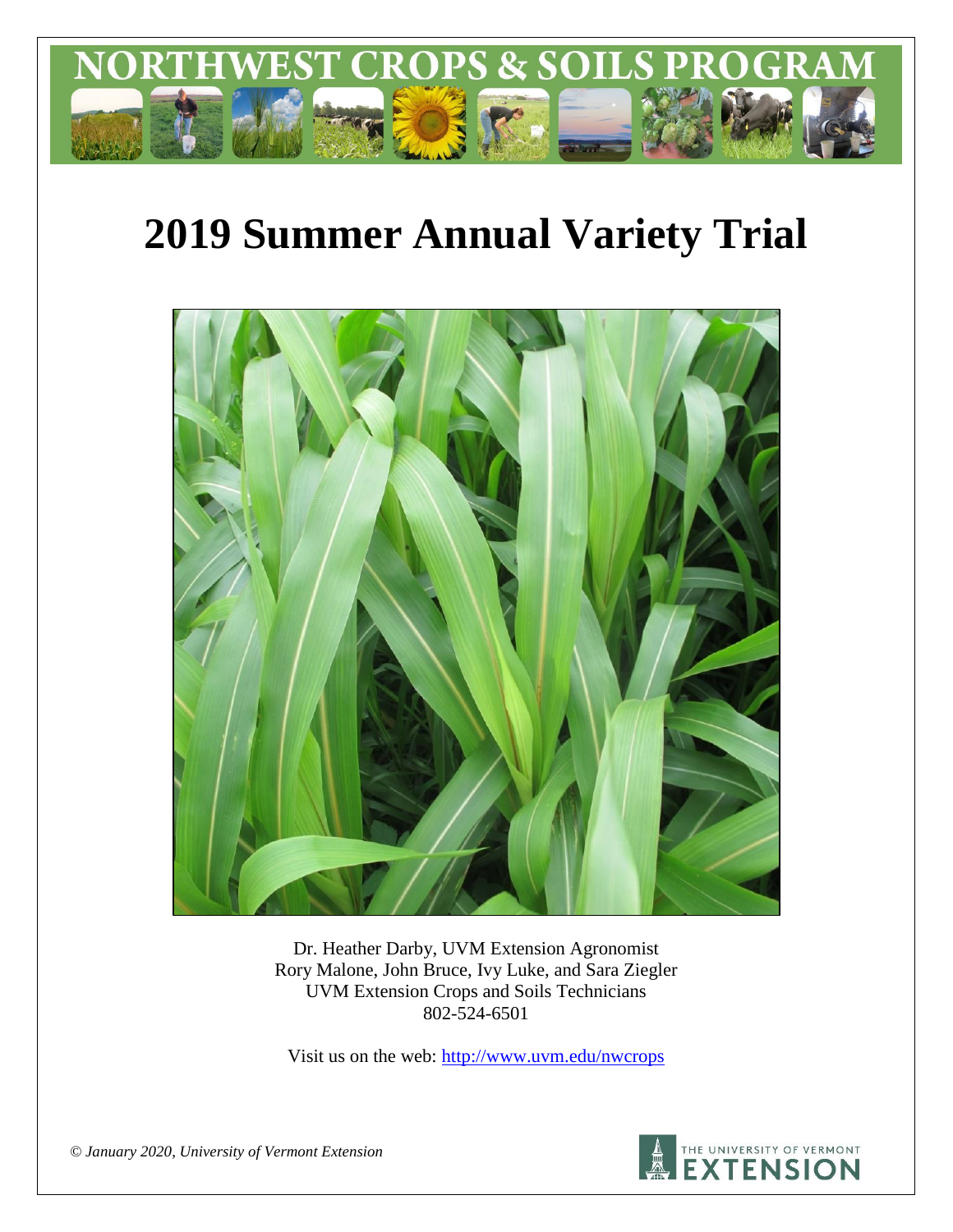

# **2019 Summer Annual Variety Trial**



Dr. Heather Darby, UVM Extension Agronomist Rory Malone, John Bruce, Ivy Luke, and Sara Ziegler UVM Extension Crops and Soils Technicians 802-524-6501

Visit us on the web: <http://www.uvm.edu/nwcrops>



*© January 2020, University of Vermont Extension*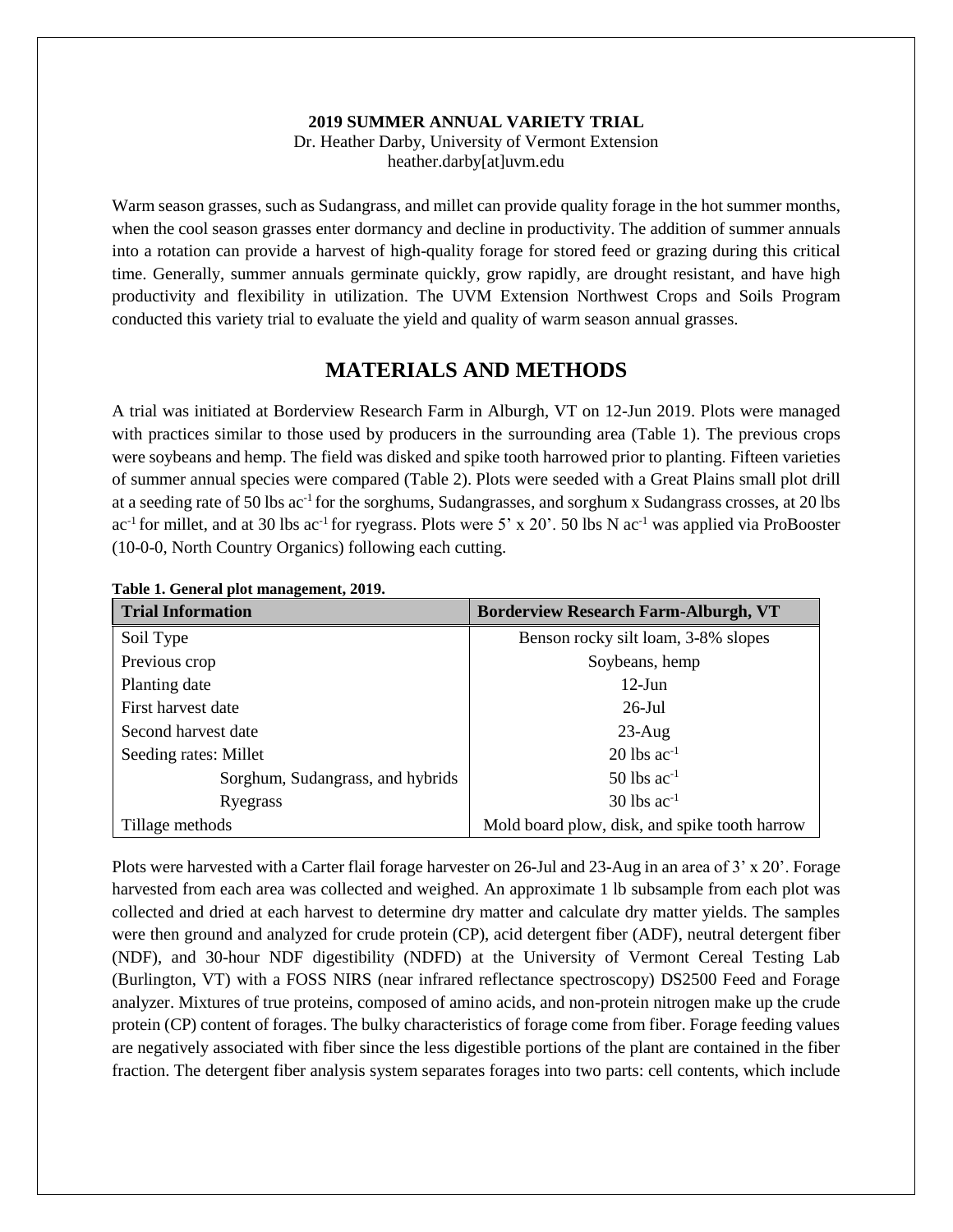### **2019 SUMMER ANNUAL VARIETY TRIAL**

Dr. Heather Darby, University of Vermont Extension heather.darby[at]uvm.edu

Warm season grasses, such as Sudangrass, and millet can provide quality forage in the hot summer months, when the cool season grasses enter dormancy and decline in productivity. The addition of summer annuals into a rotation can provide a harvest of high-quality forage for stored feed or grazing during this critical time. Generally, summer annuals germinate quickly, grow rapidly, are drought resistant, and have high productivity and flexibility in utilization. The UVM Extension Northwest Crops and Soils Program conducted this variety trial to evaluate the yield and quality of warm season annual grasses.

## **MATERIALS AND METHODS**

A trial was initiated at Borderview Research Farm in Alburgh, VT on 12-Jun 2019. Plots were managed with practices similar to those used by producers in the surrounding area (Table 1). The previous crops were soybeans and hemp. The field was disked and spike tooth harrowed prior to planting. Fifteen varieties of summer annual species were compared (Table 2). Plots were seeded with a Great Plains small plot drill at a seeding rate of 50 lbs ac<sup>-1</sup> for the sorghums, Sudangrasses, and sorghum x Sudangrass crosses, at 20 lbs ac<sup>-1</sup> for millet, and at 30 lbs ac<sup>-1</sup> for ryegrass. Plots were 5' x 20'. 50 lbs N ac<sup>-1</sup> was applied via ProBooster (10-0-0, North Country Organics) following each cutting.

| <b>Trial Information</b>         | <b>Borderview Research Farm-Alburgh, VT</b>   |  |  |  |
|----------------------------------|-----------------------------------------------|--|--|--|
| Soil Type                        | Benson rocky silt loam, 3-8% slopes           |  |  |  |
| Previous crop                    | Soybeans, hemp                                |  |  |  |
| Planting date                    | $12$ -Jun                                     |  |  |  |
| First harvest date               | $26$ -Jul                                     |  |  |  |
| Second harvest date              | $23$ -Aug                                     |  |  |  |
| Seeding rates: Millet            | $20$ lbs ac <sup>-1</sup>                     |  |  |  |
| Sorghum, Sudangrass, and hybrids | $50$ lbs ac <sup>-1</sup>                     |  |  |  |
| Ryegrass                         | $30$ lbs ac <sup>-1</sup>                     |  |  |  |
| Tillage methods                  | Mold board plow, disk, and spike tooth harrow |  |  |  |

**Table 1. General plot management, 2019.**

Plots were harvested with a Carter flail forage harvester on 26-Jul and 23-Aug in an area of 3' x 20'. Forage harvested from each area was collected and weighed. An approximate 1 lb subsample from each plot was collected and dried at each harvest to determine dry matter and calculate dry matter yields. The samples were then ground and analyzed for crude protein (CP), acid detergent fiber (ADF), neutral detergent fiber (NDF), and 30-hour NDF digestibility (NDFD) at the University of Vermont Cereal Testing Lab (Burlington, VT) with a FOSS NIRS (near infrared reflectance spectroscopy) DS2500 Feed and Forage analyzer. Mixtures of true proteins, composed of amino acids, and non-protein nitrogen make up the crude protein (CP) content of forages. The bulky characteristics of forage come from fiber. Forage feeding values are negatively associated with fiber since the less digestible portions of the plant are contained in the fiber fraction. The detergent fiber analysis system separates forages into two parts: cell contents, which include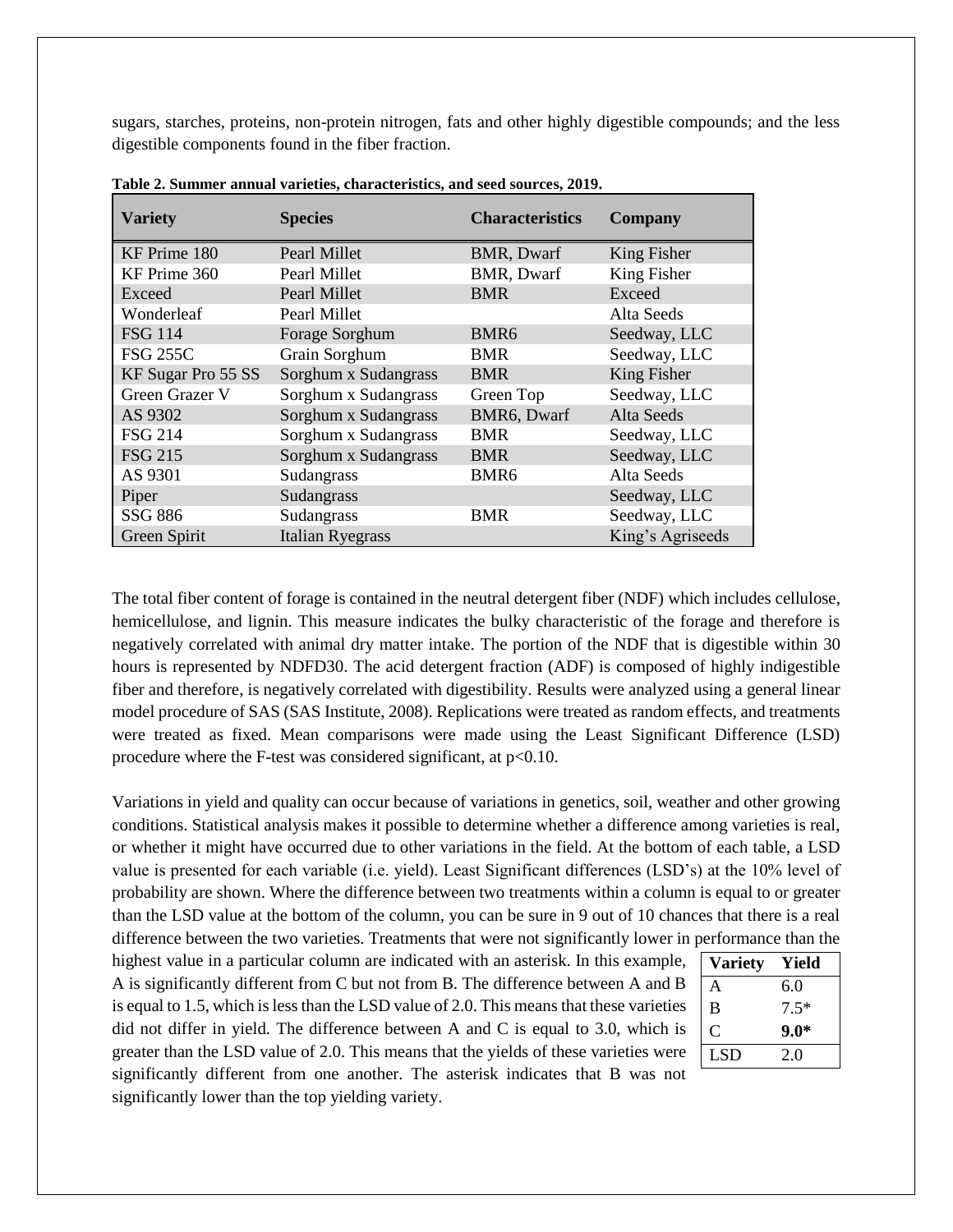sugars, starches, proteins, non-protein nitrogen, fats and other highly digestible compounds; and the less digestible components found in the fiber fraction.

| <b>Variety</b>     | <b>Species</b>          | <b>Characteristics</b> | <b>Company</b>   |
|--------------------|-------------------------|------------------------|------------------|
| KF Prime 180       | Pearl Millet            | BMR, Dwarf             | King Fisher      |
| KF Prime 360       | Pearl Millet            | <b>BMR, Dwarf</b>      | King Fisher      |
| Exceed             | Pearl Millet            | <b>BMR</b>             | Exceed           |
| Wonderleaf         | Pearl Millet            |                        | Alta Seeds       |
| <b>FSG 114</b>     | Forage Sorghum          | BMR <sub>6</sub>       | Seedway, LLC     |
| <b>FSG 255C</b>    | Grain Sorghum           | <b>BMR</b>             | Seedway, LLC     |
| KF Sugar Pro 55 SS | Sorghum x Sudangrass    | <b>BMR</b>             | King Fisher      |
| Green Grazer V     | Sorghum x Sudangrass    | Green Top              | Seedway, LLC     |
| AS 9302            | Sorghum x Sudangrass    | BMR6, Dwarf            | Alta Seeds       |
| <b>FSG 214</b>     | Sorghum x Sudangrass    | <b>BMR</b>             | Seedway, LLC     |
| <b>FSG 215</b>     | Sorghum x Sudangrass    | <b>BMR</b>             | Seedway, LLC     |
| AS 9301            | Sudangrass              | BMR <sub>6</sub>       | Alta Seeds       |
| Piper              | Sudangrass              |                        | Seedway, LLC     |
| <b>SSG 886</b>     | Sudangrass              | <b>BMR</b>             | Seedway, LLC     |
| Green Spirit       | <b>Italian Ryegrass</b> |                        | King's Agriseeds |

**Table 2. Summer annual varieties, characteristics, and seed sources, 2019.** 

The total fiber content of forage is contained in the neutral detergent fiber (NDF) which includes cellulose, hemicellulose, and lignin. This measure indicates the bulky characteristic of the forage and therefore is negatively correlated with animal dry matter intake. The portion of the NDF that is digestible within 30 hours is represented by NDFD30. The acid detergent fraction (ADF) is composed of highly indigestible fiber and therefore, is negatively correlated with digestibility. Results were analyzed using a general linear model procedure of SAS (SAS Institute, 2008). Replications were treated as random effects, and treatments were treated as fixed. Mean comparisons were made using the Least Significant Difference (LSD) procedure where the F-test was considered significant, at  $p<0.10$ .

Variations in yield and quality can occur because of variations in genetics, soil, weather and other growing conditions. Statistical analysis makes it possible to determine whether a difference among varieties is real, or whether it might have occurred due to other variations in the field. At the bottom of each table, a LSD value is presented for each variable (i.e. yield). Least Significant differences (LSD's) at the 10% level of probability are shown. Where the difference between two treatments within a column is equal to or greater than the LSD value at the bottom of the column, you can be sure in 9 out of 10 chances that there is a real difference between the two varieties. Treatments that were not significantly lower in performance than the

highest value in a particular column are indicated with an asterisk. In this example, A is significantly different from C but not from B. The difference between A and B is equal to 1.5, which is less than the LSD value of 2.0. This means that these varieties did not differ in yield. The difference between A and C is equal to 3.0, which is greater than the LSD value of 2.0. This means that the yields of these varieties were significantly different from one another. The asterisk indicates that B was not significantly lower than the top yielding variety.

| Yield  |
|--------|
| 6.0    |
| $7.5*$ |
| $9.0*$ |
| 2.0    |
|        |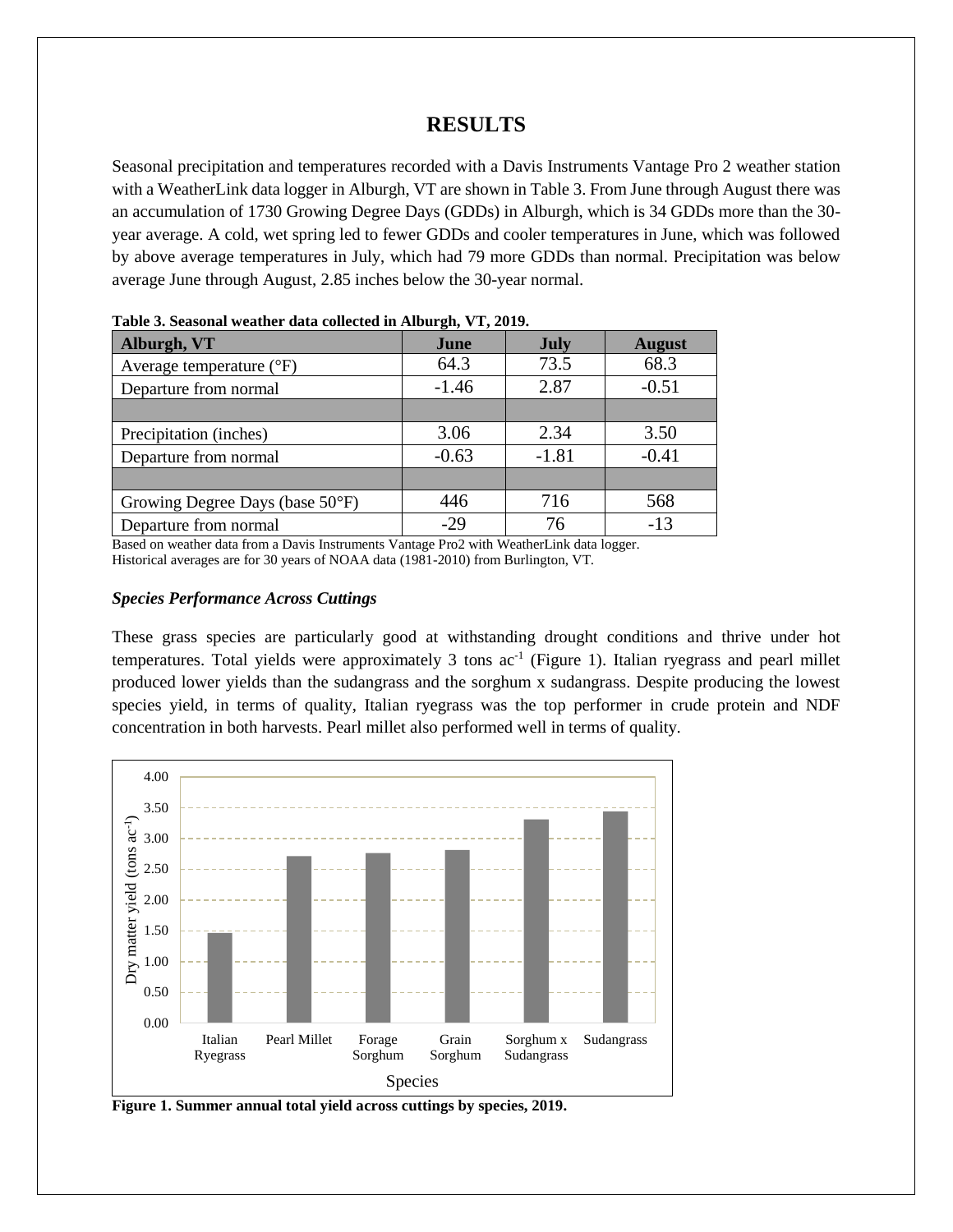## **RESULTS**

Seasonal precipitation and temperatures recorded with a Davis Instruments Vantage Pro 2 weather station with a WeatherLink data logger in Alburgh, VT are shown in Table 3. From June through August there was an accumulation of 1730 Growing Degree Days (GDDs) in Alburgh, which is 34 GDDs more than the 30 year average. A cold, wet spring led to fewer GDDs and cooler temperatures in June, which was followed by above average temperatures in July, which had 79 more GDDs than normal. Precipitation was below average June through August, 2.85 inches below the 30-year normal.

| Alburgh, VT                       | June    | <b>July</b> | <b>August</b> |
|-----------------------------------|---------|-------------|---------------|
| Average temperature $(^{\circ}F)$ | 64.3    | 73.5        | 68.3          |
| Departure from normal             | $-1.46$ | 2.87        | $-0.51$       |
|                                   |         |             |               |
| Precipitation (inches)            | 3.06    | 2.34        | 3.50          |
| Departure from normal             | $-0.63$ | $-1.81$     | $-0.41$       |
|                                   |         |             |               |
| Growing Degree Days (base 50°F)   | 446     | 716         | 568           |
| Departure from normal             | $-29$   | 76          | $-13$         |

| Table 3. Seasonal weather data collected in Alburgh, VT, 2019. |  |  |  |  |  |  |
|----------------------------------------------------------------|--|--|--|--|--|--|
|----------------------------------------------------------------|--|--|--|--|--|--|

Based on weather data from a Davis Instruments Vantage Pro2 with WeatherLink data logger. Historical averages are for 30 years of NOAA data (1981-2010) from Burlington, VT.

#### *Species Performance Across Cuttings*

These grass species are particularly good at withstanding drought conditions and thrive under hot temperatures. Total yields were approximately 3 tons  $ac^{-1}$  (Figure 1). Italian ryegrass and pearl millet produced lower yields than the sudangrass and the sorghum x sudangrass. Despite producing the lowest species yield, in terms of quality, Italian ryegrass was the top performer in crude protein and NDF concentration in both harvests. Pearl millet also performed well in terms of quality.



**Figure 1. Summer annual total yield across cuttings by species, 2019.**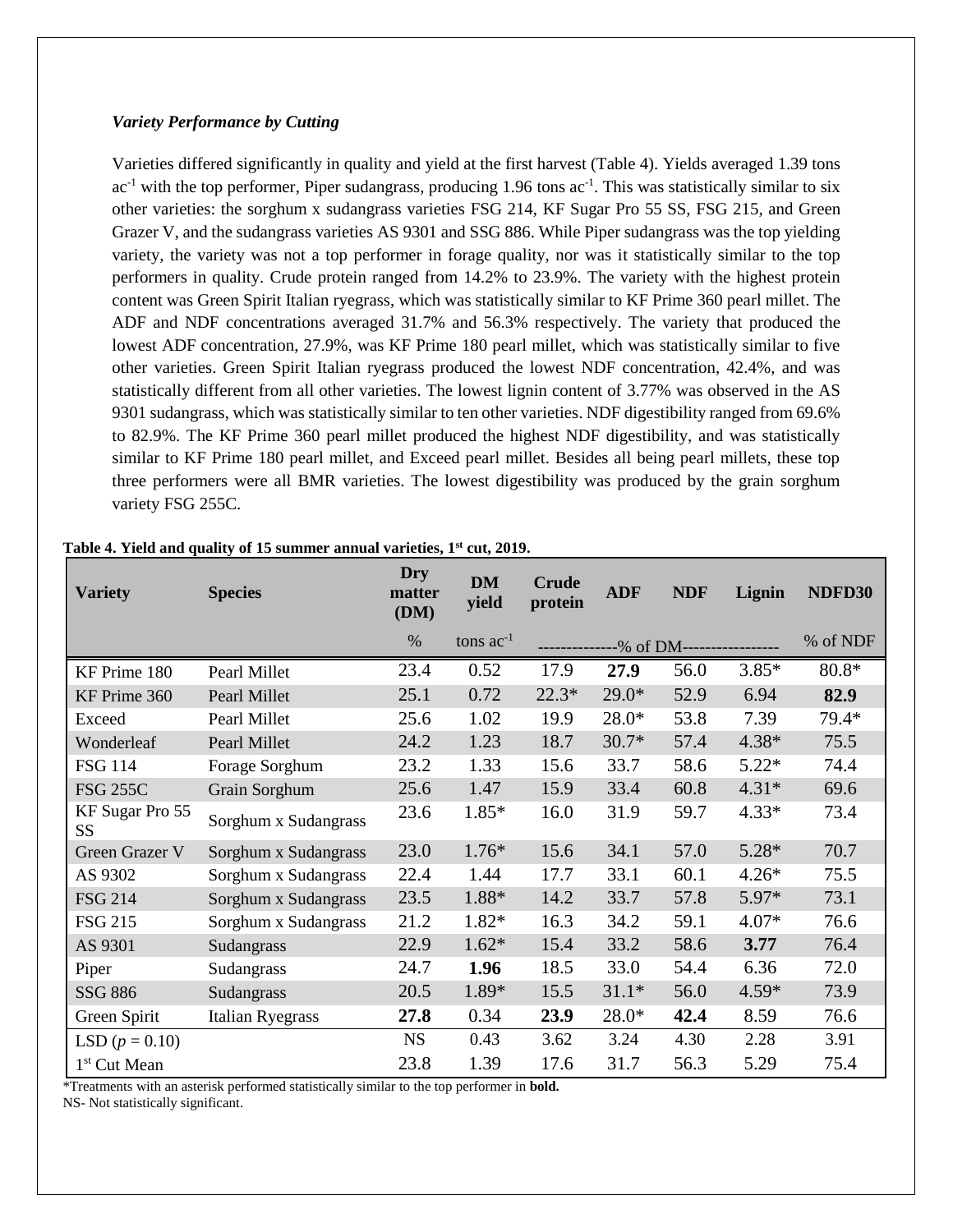#### *Variety Performance by Cutting*

Varieties differed significantly in quality and yield at the first harvest (Table 4). Yields averaged 1.39 tons  $ac^{-1}$  with the top performer, Piper sudangrass, producing 1.96 tons  $ac^{-1}$ . This was statistically similar to six other varieties: the sorghum x sudangrass varieties FSG 214, KF Sugar Pro 55 SS, FSG 215, and Green Grazer V, and the sudangrass varieties AS 9301 and SSG 886. While Piper sudangrass was the top yielding variety, the variety was not a top performer in forage quality, nor was it statistically similar to the top performers in quality. Crude protein ranged from 14.2% to 23.9%. The variety with the highest protein content was Green Spirit Italian ryegrass, which was statistically similar to KF Prime 360 pearl millet. The ADF and NDF concentrations averaged 31.7% and 56.3% respectively. The variety that produced the lowest ADF concentration, 27.9%, was KF Prime 180 pearl millet, which was statistically similar to five other varieties. Green Spirit Italian ryegrass produced the lowest NDF concentration, 42.4%, and was statistically different from all other varieties. The lowest lignin content of 3.77% was observed in the AS 9301 sudangrass, which was statistically similar to ten other varieties. NDF digestibility ranged from 69.6% to 82.9%. The KF Prime 360 pearl millet produced the highest NDF digestibility, and was statistically similar to KF Prime 180 pearl millet, and Exceed pearl millet. Besides all being pearl millets, these top three performers were all BMR varieties. The lowest digestibility was produced by the grain sorghum variety FSG 255C.

| <b>Variety</b>               | <b>Species</b>          | <b>Dry</b><br>matter<br>(DM) | <b>DM</b><br>yield | <b>Crude</b><br>protein | <b>ADF</b> | <b>NDF</b>                 | Lignin  | NDFD30   |
|------------------------------|-------------------------|------------------------------|--------------------|-------------------------|------------|----------------------------|---------|----------|
|                              |                         | $\%$                         | tons $ac^{-1}$     | .                       |            | --% of DM----------------- |         | % of NDF |
| KF Prime 180                 | Pearl Millet            | 23.4                         | 0.52               | 17.9                    | 27.9       | 56.0                       | $3.85*$ | $80.8*$  |
| KF Prime 360                 | Pearl Millet            | 25.1                         | 0.72               | $22.3*$                 | $29.0*$    | 52.9                       | 6.94    | 82.9     |
| Exceed                       | Pearl Millet            | 25.6                         | 1.02               | 19.9                    | $28.0*$    | 53.8                       | 7.39    | 79.4*    |
| Wonderleaf                   | Pearl Millet            | 24.2                         | 1.23               | 18.7                    | $30.7*$    | 57.4                       | $4.38*$ | 75.5     |
| <b>FSG 114</b>               | Forage Sorghum          | 23.2                         | 1.33               | 15.6                    | 33.7       | 58.6                       | $5.22*$ | 74.4     |
| <b>FSG 255C</b>              | Grain Sorghum           | 25.6                         | 1.47               | 15.9                    | 33.4       | 60.8                       | $4.31*$ | 69.6     |
| KF Sugar Pro 55<br><b>SS</b> | Sorghum x Sudangrass    | 23.6                         | $1.85*$            | 16.0                    | 31.9       | 59.7                       | $4.33*$ | 73.4     |
| <b>Green Grazer V</b>        | Sorghum x Sudangrass    | 23.0                         | $1.76*$            | 15.6                    | 34.1       | 57.0                       | $5.28*$ | 70.7     |
| AS 9302                      | Sorghum x Sudangrass    | 22.4                         | 1.44               | 17.7                    | 33.1       | 60.1                       | $4.26*$ | 75.5     |
| <b>FSG 214</b>               | Sorghum x Sudangrass    | 23.5                         | 1.88*              | 14.2                    | 33.7       | 57.8                       | $5.97*$ | 73.1     |
| <b>FSG 215</b>               | Sorghum x Sudangrass    | 21.2                         | 1.82*              | 16.3                    | 34.2       | 59.1                       | $4.07*$ | 76.6     |
| AS 9301                      | Sudangrass              | 22.9                         | $1.62*$            | 15.4                    | 33.2       | 58.6                       | 3.77    | 76.4     |
| Piper                        | Sudangrass              | 24.7                         | 1.96               | 18.5                    | 33.0       | 54.4                       | 6.36    | 72.0     |
| <b>SSG 886</b>               | Sudangrass              | 20.5                         | 1.89*              | 15.5                    | $31.1*$    | 56.0                       | $4.59*$ | 73.9     |
| Green Spirit                 | <b>Italian Ryegrass</b> | 27.8                         | 0.34               | 23.9                    | $28.0*$    | 42.4                       | 8.59    | 76.6     |
| LSD $(p = 0.10)$             |                         | <b>NS</b>                    | 0.43               | 3.62                    | 3.24       | 4.30                       | 2.28    | 3.91     |
| 1 <sup>st</sup> Cut Mean     |                         | 23.8                         | 1.39               | 17.6                    | 31.7       | 56.3                       | 5.29    | 75.4     |

#### **Table 4. Yield and quality of 15 summer annual varieties, 1st cut, 2019.**

\*Treatments with an asterisk performed statistically similar to the top performer in **bold.**

NS- Not statistically significant.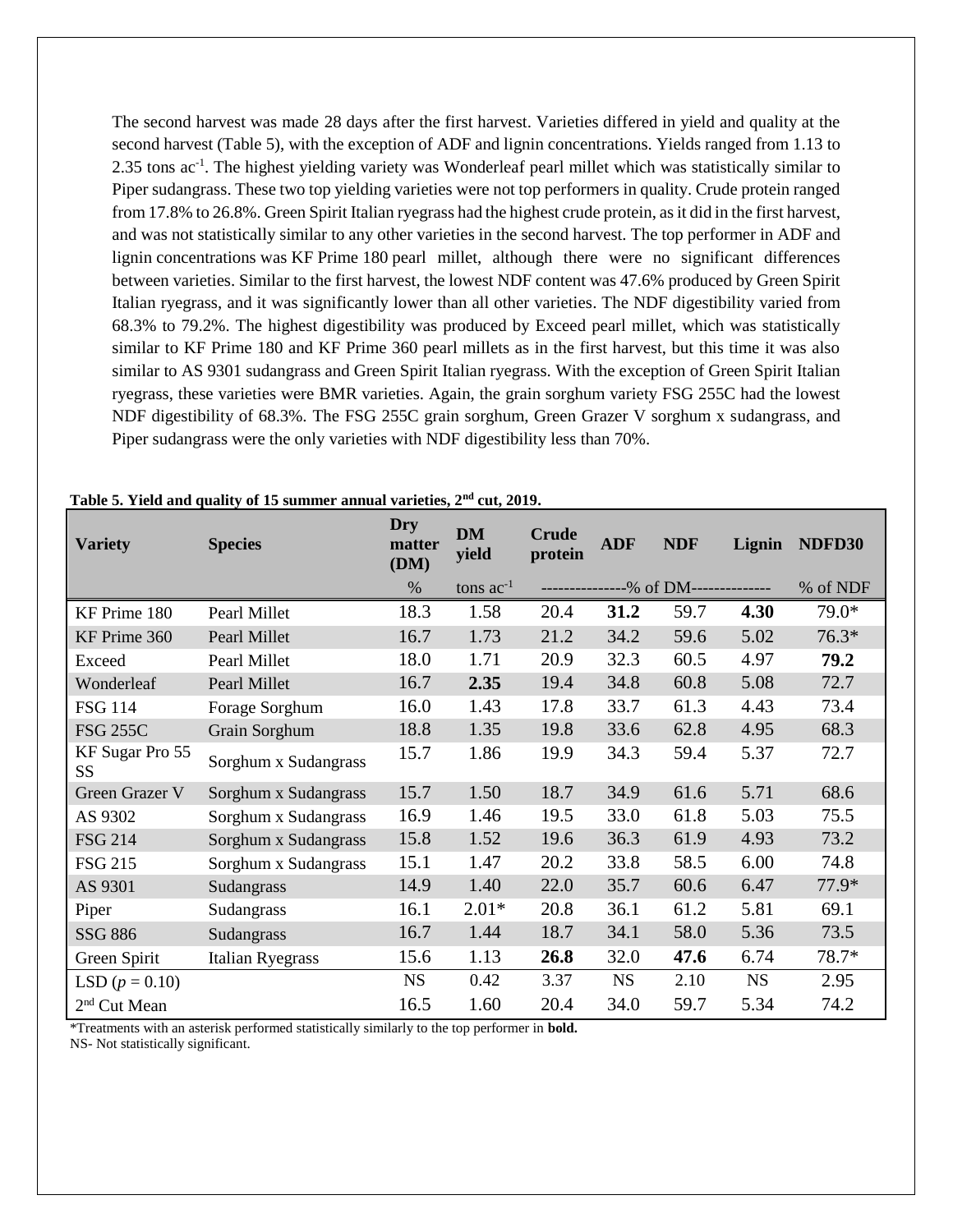The second harvest was made 28 days after the first harvest. Varieties differed in yield and quality at the second harvest (Table 5), with the exception of ADF and lignin concentrations. Yields ranged from 1.13 to 2.35 tons ac<sup>-1</sup>. The highest yielding variety was Wonderleaf pearl millet which was statistically similar to Piper sudangrass. These two top yielding varieties were not top performers in quality. Crude protein ranged from 17.8% to 26.8%. Green Spirit Italian ryegrass had the highest crude protein, as it did in the first harvest, and was not statistically similar to any other varieties in the second harvest. The top performer in ADF and lignin concentrations was KF Prime 180 pearl millet, although there were no significant differences between varieties. Similar to the first harvest, the lowest NDF content was 47.6% produced by Green Spirit Italian ryegrass, and it was significantly lower than all other varieties. The NDF digestibility varied from 68.3% to 79.2%. The highest digestibility was produced by Exceed pearl millet, which was statistically similar to KF Prime 180 and KF Prime 360 pearl millets as in the first harvest, but this time it was also similar to AS 9301 sudangrass and Green Spirit Italian ryegrass. With the exception of Green Spirit Italian ryegrass, these varieties were BMR varieties. Again, the grain sorghum variety FSG 255C had the lowest NDF digestibility of 68.3%. The FSG 255C grain sorghum, Green Grazer V sorghum x sudangrass, and Piper sudangrass were the only varieties with NDF digestibility less than 70%.

| <b>Variety</b>               | <b>Species</b>          | Dry<br>matter<br>(DM) | <b>DM</b><br>yield | <b>Crude</b><br>protein | <b>ADF</b> | <b>NDF</b>                         | Lignin    | NDFD30   |
|------------------------------|-------------------------|-----------------------|--------------------|-------------------------|------------|------------------------------------|-----------|----------|
|                              |                         | $\%$                  | tons $ac^{-1}$     |                         |            | --------------% of DM------------- |           | % of NDF |
| KF Prime 180                 | Pearl Millet            | 18.3                  | 1.58               | 20.4                    | 31.2       | 59.7                               | 4.30      | 79.0*    |
| KF Prime 360                 | Pearl Millet            | 16.7                  | 1.73               | 21.2                    | 34.2       | 59.6                               | 5.02      | $76.3*$  |
| Exceed                       | Pearl Millet            | 18.0                  | 1.71               | 20.9                    | 32.3       | 60.5                               | 4.97      | 79.2     |
| Wonderleaf                   | Pearl Millet            | 16.7                  | 2.35               | 19.4                    | 34.8       | 60.8                               | 5.08      | 72.7     |
| <b>FSG 114</b>               | Forage Sorghum          | 16.0                  | 1.43               | 17.8                    | 33.7       | 61.3                               | 4.43      | 73.4     |
| <b>FSG 255C</b>              | Grain Sorghum           | 18.8                  | 1.35               | 19.8                    | 33.6       | 62.8                               | 4.95      | 68.3     |
| KF Sugar Pro 55<br><b>SS</b> | Sorghum x Sudangrass    | 15.7                  | 1.86               | 19.9                    | 34.3       | 59.4                               | 5.37      | 72.7     |
| Green Grazer V               | Sorghum x Sudangrass    | 15.7                  | 1.50               | 18.7                    | 34.9       | 61.6                               | 5.71      | 68.6     |
| AS 9302                      | Sorghum x Sudangrass    | 16.9                  | 1.46               | 19.5                    | 33.0       | 61.8                               | 5.03      | 75.5     |
| <b>FSG 214</b>               | Sorghum x Sudangrass    | 15.8                  | 1.52               | 19.6                    | 36.3       | 61.9                               | 4.93      | 73.2     |
| <b>FSG 215</b>               | Sorghum x Sudangrass    | 15.1                  | 1.47               | 20.2                    | 33.8       | 58.5                               | 6.00      | 74.8     |
| AS 9301                      | Sudangrass              | 14.9                  | 1.40               | 22.0                    | 35.7       | 60.6                               | 6.47      | 77.9*    |
| Piper                        | Sudangrass              | 16.1                  | $2.01*$            | 20.8                    | 36.1       | 61.2                               | 5.81      | 69.1     |
| <b>SSG 886</b>               | Sudangrass              | 16.7                  | 1.44               | 18.7                    | 34.1       | 58.0                               | 5.36      | 73.5     |
| Green Spirit                 | <b>Italian Ryegrass</b> | 15.6                  | 1.13               | 26.8                    | 32.0       | 47.6                               | 6.74      | 78.7*    |
| LSD $(p = 0.10)$             |                         | <b>NS</b>             | 0.42               | 3.37                    | <b>NS</b>  | 2.10                               | <b>NS</b> | 2.95     |
| 2 <sup>nd</sup> Cut Mean     |                         | 16.5                  | 1.60               | 20.4                    | 34.0       | 59.7                               | 5.34      | 74.2     |

## **Table 5. Yield and quality of 15 summer annual varieties, 2nd cut, 2019.**

\*Treatments with an asterisk performed statistically similarly to the top performer in **bold.**

NS- Not statistically significant.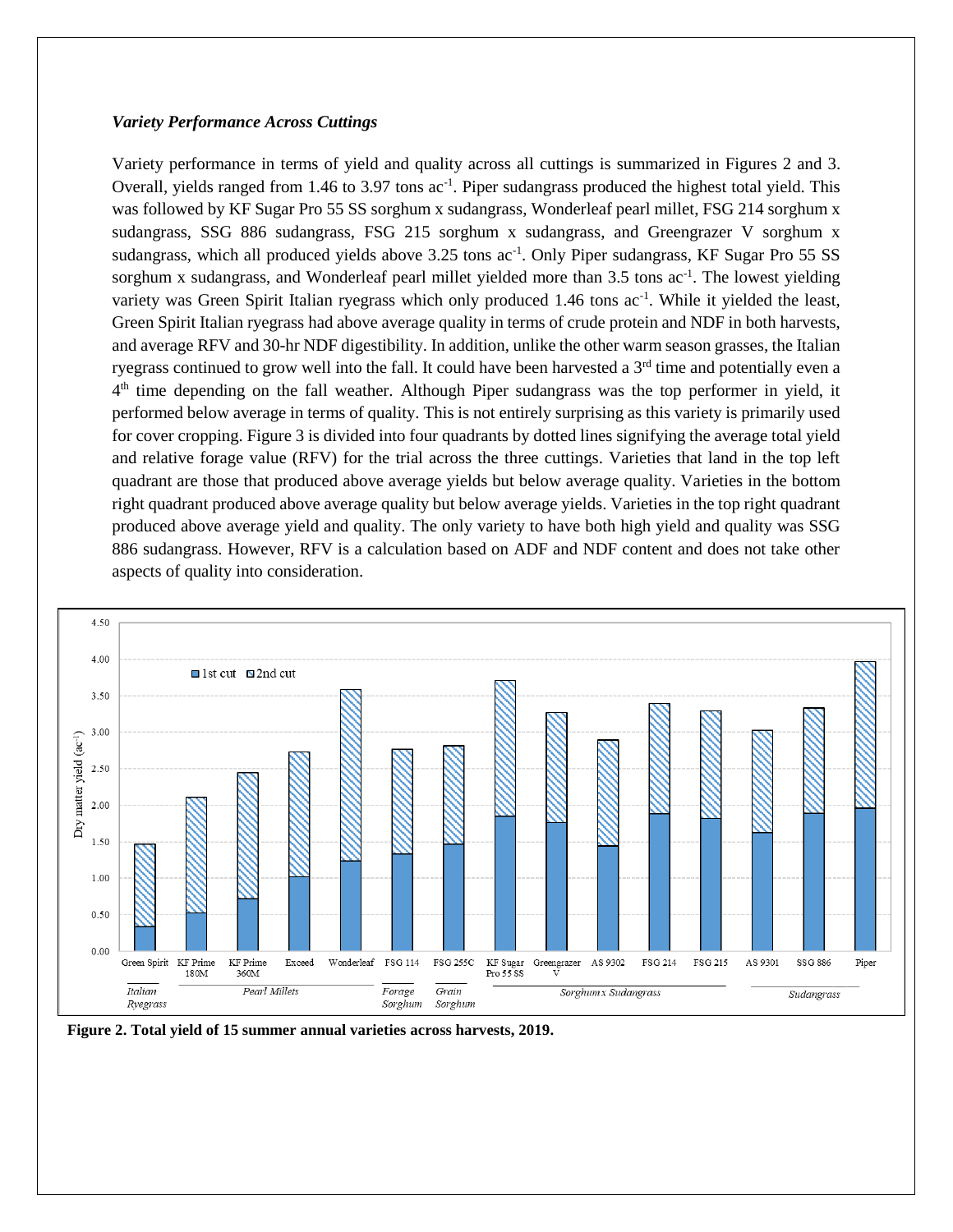#### *Variety Performance Across Cuttings*

Variety performance in terms of yield and quality across all cuttings is summarized in Figures 2 and 3. Overall, yields ranged from 1.46 to 3.97 tons ac<sup>-1</sup>. Piper sudangrass produced the highest total yield. This was followed by KF Sugar Pro 55 SS sorghum x sudangrass, Wonderleaf pearl millet, FSG 214 sorghum x sudangrass, SSG 886 sudangrass, FSG 215 sorghum x sudangrass, and Greengrazer V sorghum x sudangrass, which all produced yields above 3.25 tons ac<sup>-1</sup>. Only Piper sudangrass, KF Sugar Pro 55 SS sorghum x sudangrass, and Wonderleaf pearl millet yielded more than 3.5 tons ac<sup>-1</sup>. The lowest yielding variety was Green Spirit Italian ryegrass which only produced 1.46 tons ac<sup>-1</sup>. While it yielded the least, Green Spirit Italian ryegrass had above average quality in terms of crude protein and NDF in both harvests, and average RFV and 30-hr NDF digestibility. In addition, unlike the other warm season grasses, the Italian ryegrass continued to grow well into the fall. It could have been harvested a 3<sup>rd</sup> time and potentially even a 4<sup>th</sup> time depending on the fall weather. Although Piper sudangrass was the top performer in yield, it performed below average in terms of quality. This is not entirely surprising as this variety is primarily used for cover cropping. Figure 3 is divided into four quadrants by dotted lines signifying the average total yield and relative forage value (RFV) for the trial across the three cuttings. Varieties that land in the top left quadrant are those that produced above average yields but below average quality. Varieties in the bottom right quadrant produced above average quality but below average yields. Varieties in the top right quadrant produced above average yield and quality. The only variety to have both high yield and quality was SSG 886 sudangrass. However, RFV is a calculation based on ADF and NDF content and does not take other aspects of quality into consideration.



**Figure 2. Total yield of 15 summer annual varieties across harvests, 2019.**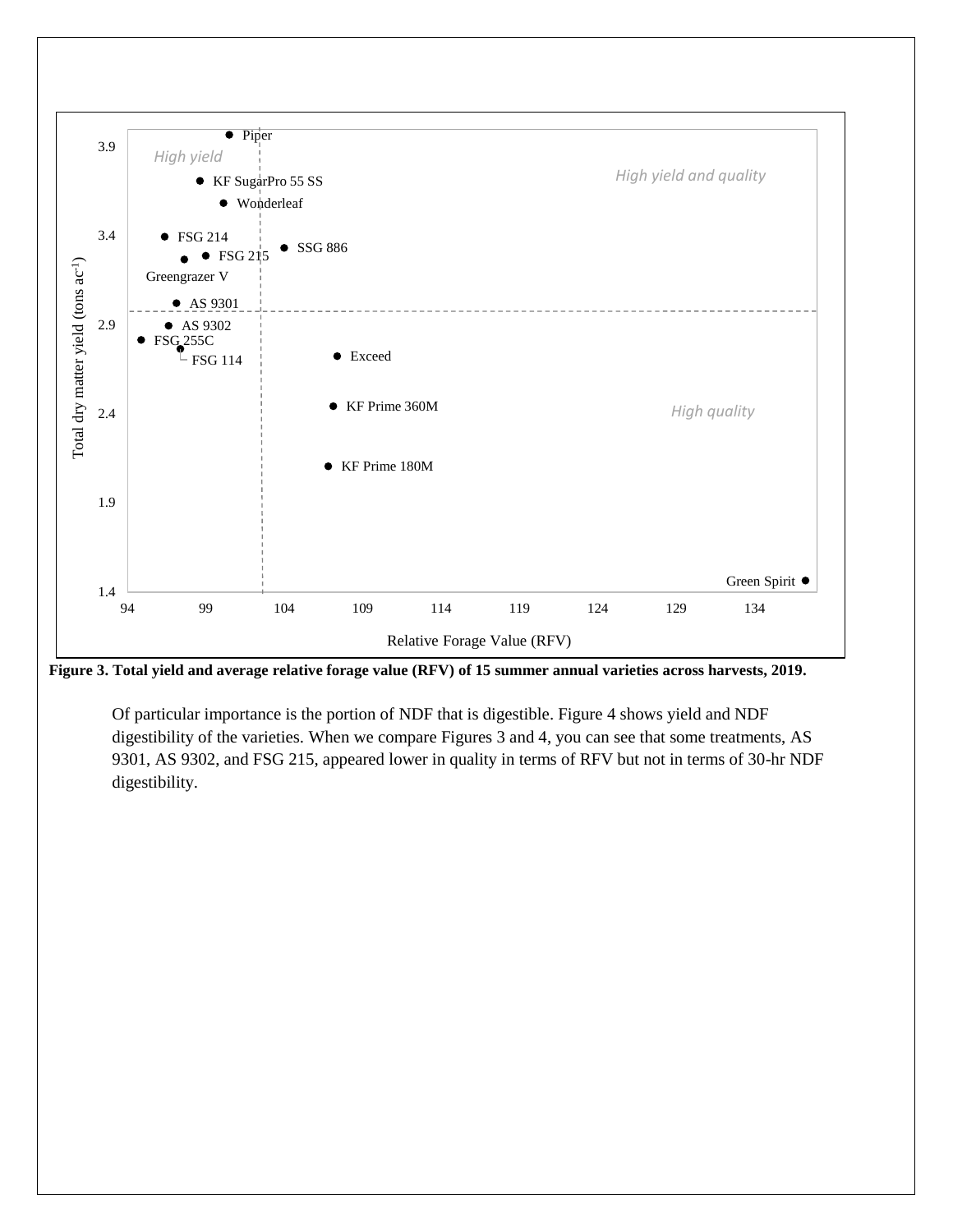

**Figure 3. Total yield and average relative forage value (RFV) of 15 summer annual varieties across harvests, 2019.**

Of particular importance is the portion of NDF that is digestible. Figure 4 shows yield and NDF digestibility of the varieties. When we compare Figures 3 and 4, you can see that some treatments, AS 9301, AS 9302, and FSG 215, appeared lower in quality in terms of RFV but not in terms of 30-hr NDF digestibility.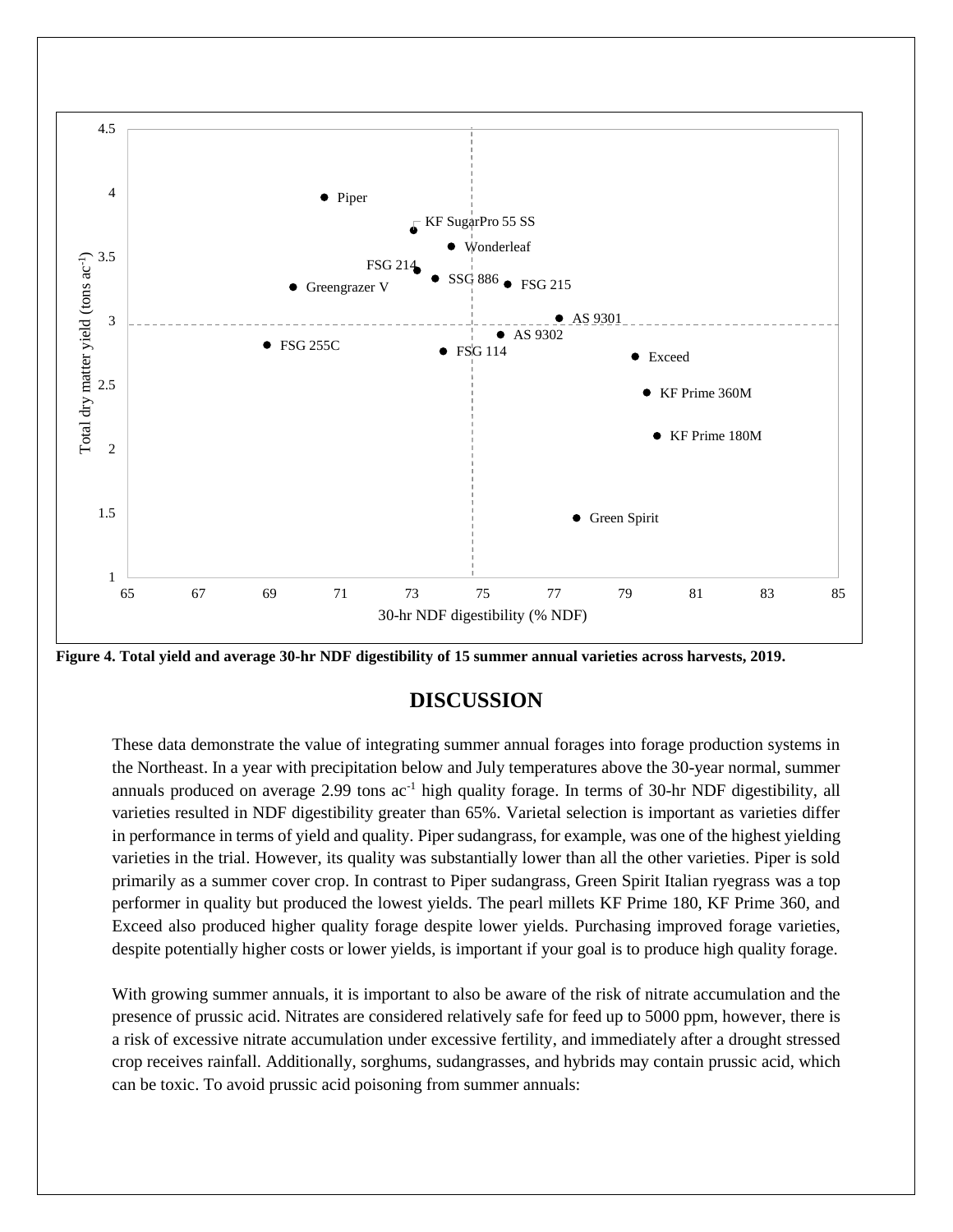

**Figure 4. Total yield and average 30-hr NDF digestibility of 15 summer annual varieties across harvests, 2019.**

## **DISCUSSION**

These data demonstrate the value of integrating summer annual forages into forage production systems in the Northeast. In a year with precipitation below and July temperatures above the 30-year normal, summer annuals produced on average 2.99 tons  $ac^{-1}$  high quality forage. In terms of 30-hr NDF digestibility, all varieties resulted in NDF digestibility greater than 65%. Varietal selection is important as varieties differ in performance in terms of yield and quality. Piper sudangrass, for example, was one of the highest yielding varieties in the trial. However, its quality was substantially lower than all the other varieties. Piper is sold primarily as a summer cover crop. In contrast to Piper sudangrass, Green Spirit Italian ryegrass was a top performer in quality but produced the lowest yields. The pearl millets KF Prime 180, KF Prime 360, and Exceed also produced higher quality forage despite lower yields. Purchasing improved forage varieties, despite potentially higher costs or lower yields, is important if your goal is to produce high quality forage.

With growing summer annuals, it is important to also be aware of the risk of nitrate accumulation and the presence of prussic acid. Nitrates are considered relatively safe for feed up to 5000 ppm, however, there is a risk of excessive nitrate accumulation under excessive fertility, and immediately after a drought stressed crop receives rainfall. Additionally, sorghums, sudangrasses, and hybrids may contain prussic acid, which can be toxic. To avoid prussic acid poisoning from summer annuals: